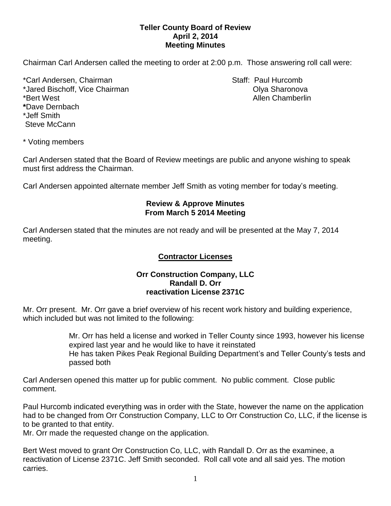## **Teller County Board of Review April 2, 2014 Meeting Minutes**

Chairman Carl Andersen called the meeting to order at 2:00 p.m. Those answering roll call were:

\*Carl Andersen, Chairman Staff: Paul Hurcomb \*Jared Bischoff, Vice Chairman **Olya Sharonova** Olya Sharonova \*Bert West Allen Chamberlin **\***Dave Dernbach \*Jeff Smith Steve McCann

\* Voting members

Carl Andersen stated that the Board of Review meetings are public and anyone wishing to speak must first address the Chairman.

Carl Andersen appointed alternate member Jeff Smith as voting member for today's meeting.

#### **Review & Approve Minutes From March 5 2014 Meeting**

Carl Andersen stated that the minutes are not ready and will be presented at the May 7, 2014 meeting.

# **Contractor Licenses**

## **Orr Construction Company, LLC Randall D. Orr reactivation License 2371C**

Mr. Orr present. Mr. Orr gave a brief overview of his recent work history and building experience, which included but was not limited to the following:

> Mr. Orr has held a license and worked in Teller County since 1993, however his license expired last year and he would like to have it reinstated

> He has taken Pikes Peak Regional Building Department's and Teller County's tests and passed both

Carl Andersen opened this matter up for public comment. No public comment. Close public comment.

Paul Hurcomb indicated everything was in order with the State, however the name on the application had to be changed from Orr Construction Company, LLC to Orr Construction Co, LLC, if the license is to be granted to that entity.

Mr. Orr made the requested change on the application.

Bert West moved to grant Orr Construction Co, LLC, with Randall D. Orr as the examinee, a reactivation of License 2371C. Jeff Smith seconded. Roll call vote and all said yes. The motion carries.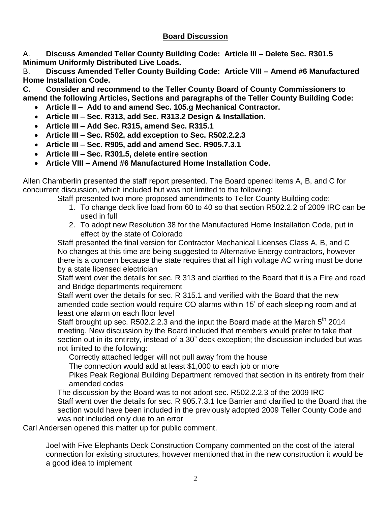# **Board Discussion**

A. **Discuss Amended Teller County Building Code: Article III – Delete Sec. R301.5 Minimum Uniformly Distributed Live Loads.**

B. **Discuss Amended Teller County Building Code: Article VIII – Amend #6 Manufactured Home Installation Code.**

**C. Consider and recommend to the Teller County Board of County Commissioners to amend the following Articles, Sections and paragraphs of the Teller County Building Code:**

- **Article II Add to and amend Sec. 105.g Mechanical Contractor.**
- **Article III – Sec. R313, add Sec. R313.2 Design & Installation.**
- **Article III – Add Sec. R315, amend Sec. R315.1**
- **Article III – Sec. R502, add exception to Sec. R502.2.2.3**
- **Article III – Sec. R905, add and amend Sec. R905.7.3.1**
- **Article III – Sec. R301.5, delete entire section**
- **Article VIII – Amend #6 Manufactured Home Installation Code.**

Allen Chamberlin presented the staff report presented. The Board opened items A, B, and C for concurrent discussion, which included but was not limited to the following:

Staff presented two more proposed amendments to Teller County Building code:

- 1. To change deck live load from 60 to 40 so that section R502.2.2 of 2009 IRC can be used in full
- 2. To adopt new Resolution 38 for the Manufactured Home Installation Code, put in effect by the state of Colorado

Staff presented the final version for Contractor Mechanical Licenses Class A, B, and C No changes at this time are being suggested to Alternative Energy contractors, however there is a concern because the state requires that all high voltage AC wiring must be done by a state licensed electrician

Staff went over the details for sec. R 313 and clarified to the Board that it is a Fire and road and Bridge departments requirement

Staff went over the details for sec. R 315.1 and verified with the Board that the new amended code section would require CO alarms within 15' of each sleeping room and at least one alarm on each floor level

Staff brought up sec. R502.2.2.3 and the input the Board made at the March  $5<sup>th</sup>$  2014 meeting. New discussion by the Board included that members would prefer to take that section out in its entirety, instead of a 30" deck exception; the discussion included but was not limited to the following:

Correctly attached ledger will not pull away from the house

The connection would add at least \$1,000 to each job or more

Pikes Peak Regional Building Department removed that section in its entirety from their amended codes

The discussion by the Board was to not adopt sec. R502.2.2.3 of the 2009 IRC Staff went over the details for sec. R 905.7.3.1 Ice Barrier and clarified to the Board that the section would have been included in the previously adopted 2009 Teller County Code and was not included only due to an error

Carl Andersen opened this matter up for public comment.

Joel with Five Elephants Deck Construction Company commented on the cost of the lateral connection for existing structures, however mentioned that in the new construction it would be a good idea to implement